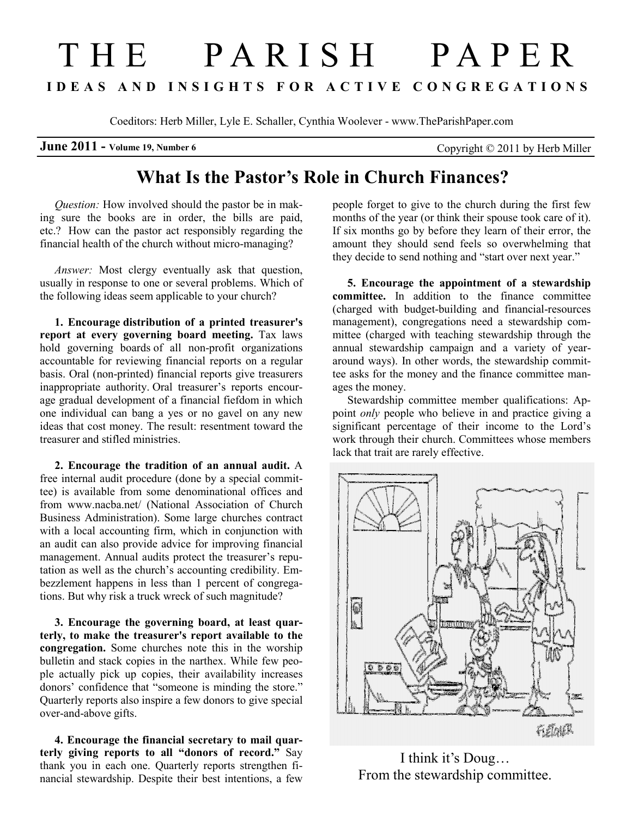# T H E P A R I S H P A P E R I D E A S A N D I N S I G H T S F O R A C T I V E C O N G R E G A T I O N S

Coeditors: Herb Miller, Lyle E. Schaller, Cynthia Woolever - www.TheParishPaper.com

**June 2011** - Volume 19, Number 6 Copyright  $\odot$  2011 by Herb Miller

# What Is the Pastor's Role in Church Finances?

Question: How involved should the pastor be in making sure the books are in order, the bills are paid, etc.? How can the pastor act responsibly regarding the financial health of the church without micro-managing?

Answer: Most clergy eventually ask that question, usually in response to one or several problems. Which of the following ideas seem applicable to your church?

1. Encourage distribution of a printed treasurer's report at every governing board meeting. Tax laws hold governing boards of all non-profit organizations accountable for reviewing financial reports on a regular basis. Oral (non-printed) financial reports give treasurers inappropriate authority. Oral treasurer's reports encourage gradual development of a financial fiefdom in which one individual can bang a yes or no gavel on any new ideas that cost money. The result: resentment toward the treasurer and stifled ministries.

2. Encourage the tradition of an annual audit. A free internal audit procedure (done by a special committee) is available from some denominational offices and from www.nacba.net/ (National Association of Church Business Administration). Some large churches contract with a local accounting firm, which in conjunction with an audit can also provide advice for improving financial management. Annual audits protect the treasurer's reputation as well as the church's accounting credibility. Embezzlement happens in less than 1 percent of congregations. But why risk a truck wreck of such magnitude?

3. Encourage the governing board, at least quarterly, to make the treasurer's report available to the congregation. Some churches note this in the worship bulletin and stack copies in the narthex. While few people actually pick up copies, their availability increases donors' confidence that "someone is minding the store." Quarterly reports also inspire a few donors to give special over-and-above gifts.

4. Encourage the financial secretary to mail quarterly giving reports to all "donors of record." Say thank you in each one. Quarterly reports strengthen financial stewardship. Despite their best intentions, a few

people forget to give to the church during the first few months of the year (or think their spouse took care of it). If six months go by before they learn of their error, the amount they should send feels so overwhelming that they decide to send nothing and "start over next year."

5. Encourage the appointment of a stewardship committee. In addition to the finance committee (charged with budget-building and financial-resources management), congregations need a stewardship committee (charged with teaching stewardship through the annual stewardship campaign and a variety of yeararound ways). In other words, the stewardship committee asks for the money and the finance committee manages the money.

Stewardship committee member qualifications: Appoint *only* people who believe in and practice giving a significant percentage of their income to the Lord's work through their church. Committees whose members lack that trait are rarely effective.



I think it's Doug… From the stewardship committee.